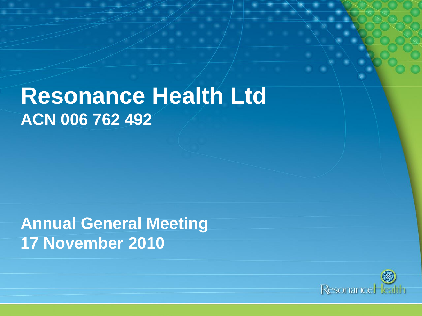## **Resonance Health Ltd ACN 006 762 492**

**Annual General Meeting 17 November 2010**

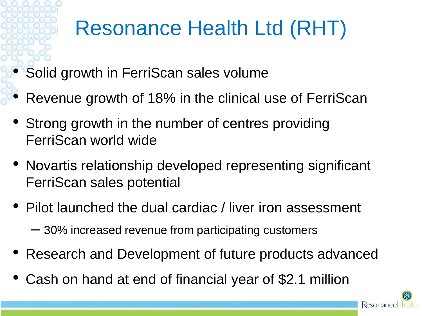# Resonance Health Ltd (RHT)

- Solid growth in FerriScan sales volume
- Revenue growth of 18% in the clinical use of FerriScan
- Strong growth in the number of centres providing FerriScan world wide
- Novartis relationship developed representing significant FerriScan sales potential
- Pilot launched the dual cardiac / liver iron assessment
	- 30% increased revenue from participating customers
- Research and Development of future products advanced
- Cash on hand at end of financial year of \$2.1 million

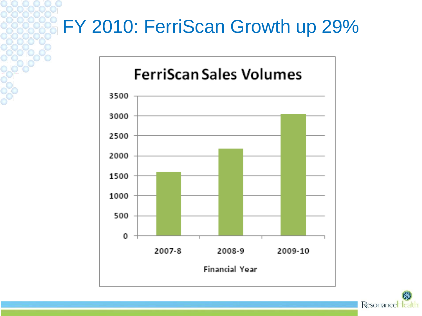## FY 2010: FerriScan Growth up 29%



ResonanceHe Palth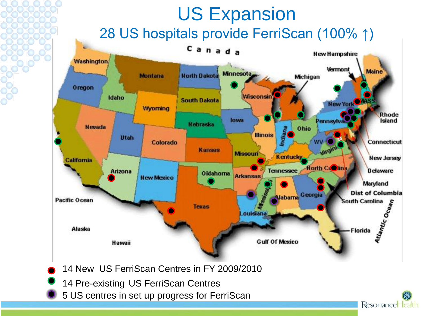#### US Expansion 28 US hospitals provide FerriScan (100% ↑)Canada **New Hampshire Washington** Vermont **Maine** Minnesota. **North Dakota Montana** Michigan Oregon Wisconsin Idaho **South Dakota New York** Wyoming **Rhode** lowa Pennsylva Island **Nebraska Nevada** Ohio Indian **Illinois Utah Connecticut** Colorado Kansas **Missouri Kentucky New Jersey** California Horth Ca**O**lina **Tennessee Delaware** Arizona Oklahoma **Arkansas New Mexico** Maryland **Alabama** Georgia **Dist of Columbia Atlantic Ocean Pacific Ocean South Carolina Texas** ouisiana Alaska -Florida **Gulf Of Mexico** Hawaii

Resonance lealth

- 14 New US FerriScan Centres in FY 2009/2010
- 14 Pre-existing US FerriScan Centres
- 5 US centres in set up progress for FerriScan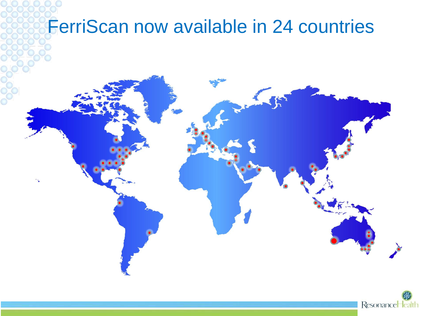## FerriScan now available in 24 countries



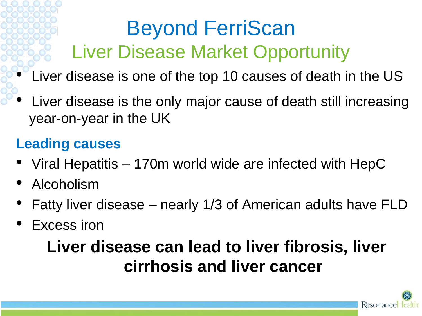# Beyond FerriScan Liver Disease Market Opportunity

- Liver disease is one of the top 10 causes of death in the US
- Liver disease is the only major cause of death still increasing year-on-year in the UK

#### **Leading causes**

- Viral Hepatitis 170m world wide are infected with HepC
- Alcoholism
- Fatty liver disease nearly 1/3 of American adults have FLD
- Excess iron

### **Liver disease can lead to liver fibrosis, liver cirrhosis and liver cancer**

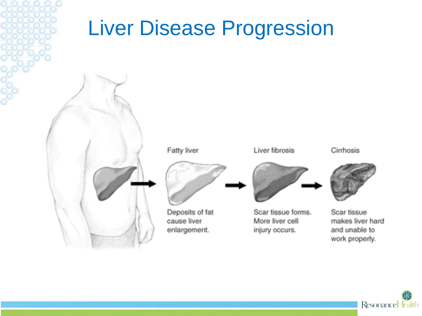## Liver Disease Progression



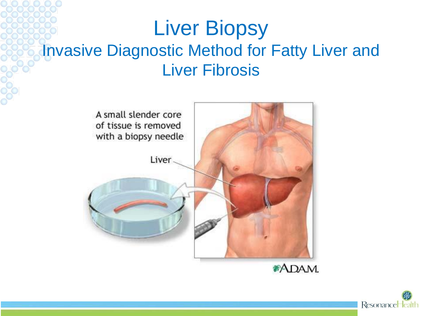## Liver Biopsy Invasive Diagnostic Method for Fatty Liver and Liver Fibrosis



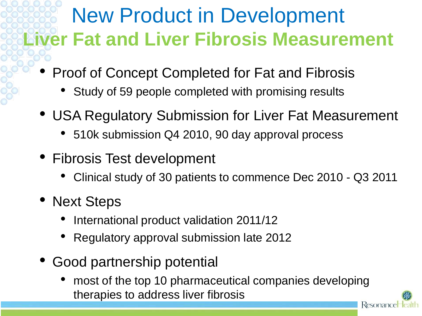## New Product in Development **Liver Fat and Liver Fibrosis Measurement**

- Proof of Concept Completed for Fat and Fibrosis
	- Study of 59 people completed with promising results
- USA Regulatory Submission for Liver Fat Measurement
	- 510k submission Q4 2010, 90 day approval process
- Fibrosis Test development
	- Clinical study of 30 patients to commence Dec 2010 Q3 2011
- Next Steps
	- International product validation 2011/12
	- Regulatory approval submission late 2012
- Good partnership potential
	- most of the top 10 pharmaceutical companies developing therapies to address liver fibrosisResonance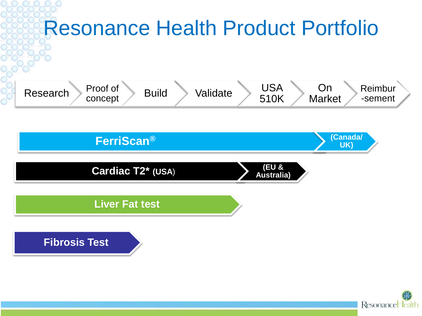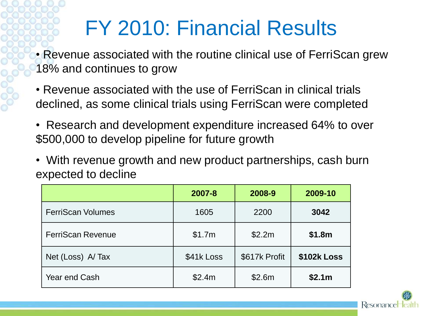## FY 2010: Financial Results

• Revenue associated with the routine clinical use of FerriScan grew 18% and continues to grow

- Revenue associated with the use of FerriScan in clinical trials declined, as some clinical trials using FerriScan were completed
- Research and development expenditure increased 64% to over \$500,000 to develop pipeline for future growth
- With revenue growth and new product partnerships, cash burn expected to decline

|                          | 2007-8     | 2008-9        | 2009-10     |
|--------------------------|------------|---------------|-------------|
| <b>FerriScan Volumes</b> | 1605       | 2200          | 3042        |
| <b>FerriScan Revenue</b> | \$1.7m     | \$2.2m        | \$1.8m      |
| Net (Loss) A/Tax         | \$41k Loss | \$617k Profit | \$102k Loss |
| <b>Year end Cash</b>     | \$2.4m     | \$2.6m        | \$2.1m      |